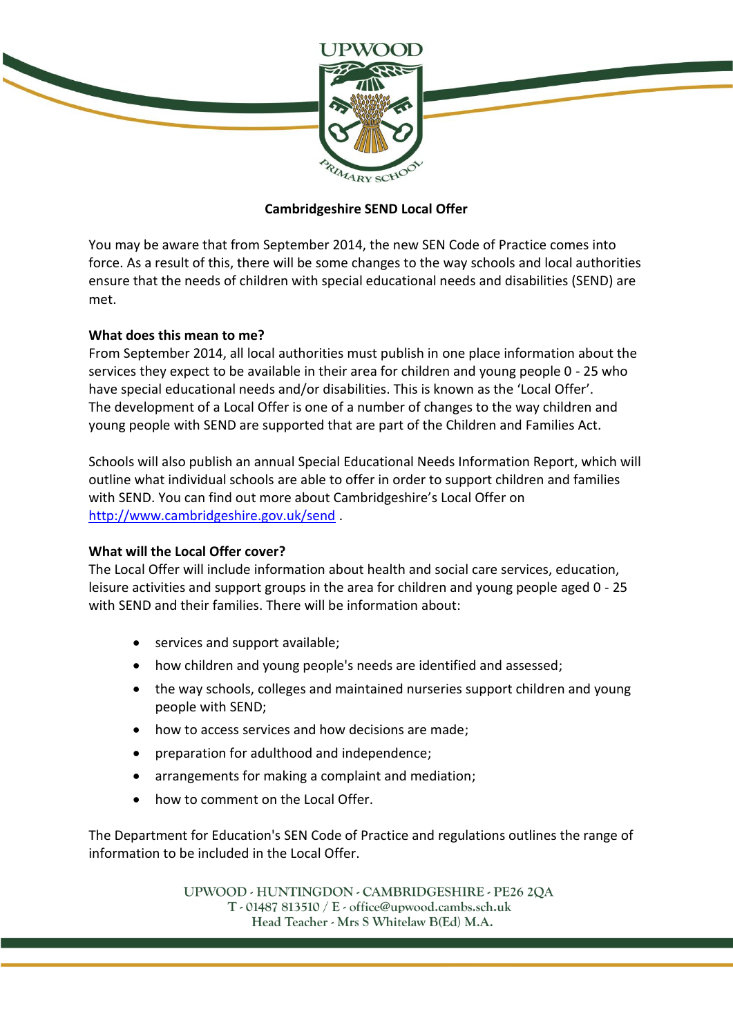

## **Cambridgeshire SEND Local Offer**

You may be aware that from September 2014, the new SEN Code of Practice comes into force. As a result of this, there will be some changes to the way schools and local authorities ensure that the needs of children with special educational needs and disabilities (SEND) are met.

## **What does this mean to me?**

From September 2014, all local authorities must publish in one place information about the services they expect to be available in their area for children and young people 0 - 25 who have special educational needs and/or disabilities. This is known as the 'Local Offer'. The development of a Local Offer is one of a number of changes to the way children and young people with SEND are supported that are part of the Children and Families Act.

Schools will also publish an annual Special Educational Needs Information Report, which will outline what individual schools are able to offer in order to support children and families with SEND. You can find out more about Cambridgeshire's Local Offer on <http://www.cambridgeshire.gov.uk/send> .

## **What will the Local Offer cover?**

The Local Offer will include information about health and social care services, education, leisure activities and support groups in the area for children and young people aged 0 - 25 with SEND and their families. There will be information about:

- services and support available;
- how children and young people's needs are identified and assessed;
- the way schools, colleges and maintained nurseries support children and young people with SEND;
- how to access services and how decisions are made;
- preparation for adulthood and independence;
- arrangements for making a complaint and mediation;
- how to comment on the Local Offer.

The Department for Education's SEN Code of Practice and regulations outlines the range of information to be included in the Local Offer.

> UPWOOD - HUNTINGDON - CAMBRIDGESHIRE - PE26 2QA  $T - 01487813510 / E - 0$  office@upwood.cambs.sch.uk Head Teacher - Mrs S Whitelaw B(Ed) M.A.